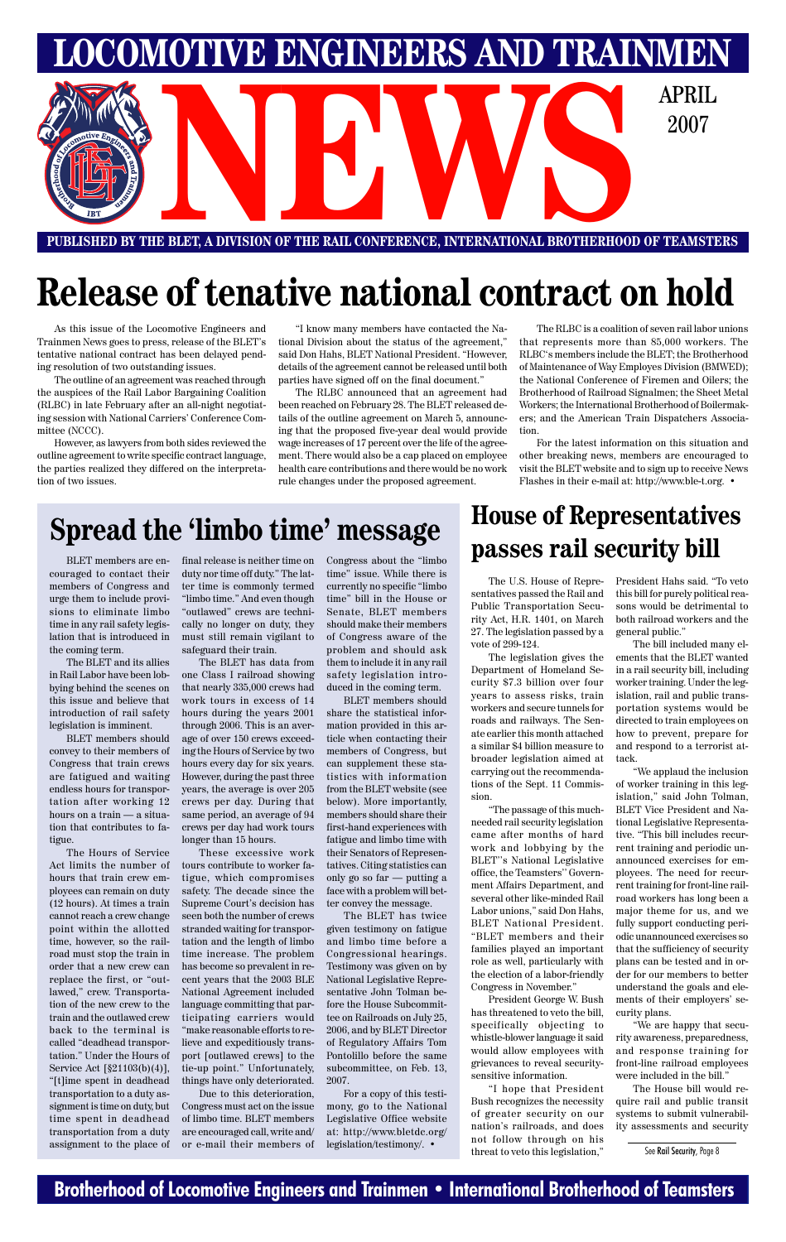### **Brotherhood of Locomotive Engineers and Trainmen • International Brotherhood of Teamsters**



# **Release of tenative national contract on hold**

As this issue of the Locomotive Engineers and Trainmen News goes to press, release of the BLET's tentative national contract has been delayed pending resolution of two outstanding issues.

The outline of an agreement was reached through the auspices of the Rail Labor Bargaining Coalition (RLBC) in late February after an all-night negotiating session with National Carriers' Conference Committee (NCCC).

However, as lawyers from both sides reviewed the outline agreement to write specific contract language, the parties realized they differed on the interpretation of two issues.

"I know many members have contacted the National Division about the status of the agreement," said Don Hahs, BLET National President. "However, details of the agreement cannot be released until both parties have signed off on the final document."

The RLBC announced that an agreement had been reached on February 28. The BLET released details of the outline agreement on March 5, announcing that the proposed five-year deal would provide wage increases of 17 percent over the life of the agreement. There would also be a cap placed on employee health care contributions and there would be no work rule changes under the proposed agreement.

The RLBC is a coalition of seven rail labor unions that represents more than 85,000 workers. The RLBC's members include the BLET; the Brotherhood of Maintenance of Way Employes Division (BMWED); the National Conference of Firemen and Oilers; the Brotherhood of Railroad Signalmen; the Sheet Metal Workers; the International Brotherhood of Boilermakers; and the American Train Dispatchers Association.

For the latest information on this situation and other breaking news, members are encouraged to visit the BLET website and to sign up to receive News Flashes in their e-mail at: http://www.ble-t.org. •

# **Spread the 'limbo time' message House of Representatives**

couraged to contact their members of Congress and urge them to include provisions to eliminate limbo time in any rail safety legislation that is introduced in the coming term.

The BLET and its allies in Rail Labor have been lobbying behind the scenes on this issue and believe that introduction of rail safety legislation is imminent.

BLET members should convey to their members of Congress that train crews are fatigued and waiting endless hours for transportation after working 12 hours on a train — a situation that contributes to fatigue.

The Hours of Service Act limits the number of hours that train crew employees can remain on duty (12 hours). At times a train cannot reach a crew change point within the allotted time, however, so the railroad must stop the train in order that a new crew can replace the first, or "outlawed," crew. Transportation of the new crew to the train and the outlawed crew back to the terminal is called "deadhead transportation." Under the Hours of Service Act [§21103(b)(4)], "[t]ime spent in deadhead transportation to a duty assignment is time on duty, but time spent in deadhead transportation from a duty assignment to the place of final release is neither time on duty nor time off duty." The latter time is commonly termed "limbo time." And even though "outlawed" crews are technically no longer on duty, they must still remain vigilant to safeguard their train.

The BLET has data from one Class I railroad showing that nearly 335,000 crews had work tours in excess of 14 hours during the years 2001 through 2006. This is an average of over 150 crews exceeding the Hours of Service by two hours every day for six years. However, during the past three years, the average is over 205 crews per day. During that same period, an average of 94 crews per day had work tours longer than 15 hours.

These excessive work tours contribute to worker fatigue, which compromises safety. The decade since the Supreme Court's decision has seen both the number of crews stranded waiting for transportation and the length of limbo time increase. The problem has become so prevalent in recent years that the 2003 BLE National Agreement included language committing that participating carriers would "make reasonable efforts to relieve and expeditiously transport [outlawed crews] to the tie-up point." Unfortunately, things have only deteriorated. Due to this deterioration, Congress must act on the issue of limbo time. BLET members are encouraged call, write and/ or e-mail their members of

Congress about the "limbo time" issue. While there is currently no specific "limbo time" bill in the House or Senate, BLET members should make their members of Congress aware of the problem and should ask them to include it in any rail safety legislation introduced in the coming term.

BLET members should share the statistical information provided in this article when contacting their members of Congress, but can supplement these statistics with information from the BLET website (see below). More importantly, members should share their first-hand experiences with fatigue and limbo time with their Senators of Representatives. Citing statistics can only go so far — putting a face with a problem will better convey the message. The BLET has twice given testimony on fatigue and limbo time before a Congressional hearings. Testimony was given on by National Legislative Representative John Tolman before the House Subcommittee on Railroads on July 25, 2006, and by BLET Director of Regulatory Affairs Tom Pontolillo before the same subcommittee, on Feb. 13, 2007. For a copy of this testimony, go to the National Legislative Office website at: http://www.bletdc.org/ legislation/testimony/. •

# BLET members are en- final release is neither time on Congress about the "limbo **passes rail security bill**

The U.S. House of Representatives passed the Rail and Public Transportation Security Act, H.R. 1401, on March 27. The legislation passed by a vote of 299-124.

The legislation gives the Department of Homeland Security \$7.3 billion over four years to assess risks, train workers and secure tunnels for roads and railways. The Senate earlier this month attached a similar \$4 billion measure to broader legislation aimed at carrying out the recommendations of the Sept. 11 Commission.

"The passage of this muchneeded rail security legislation came after months of hard work and lobbying by the BLET''s National Legislative office, the Teamsters'' Government Affairs Department, and several other like-minded Rail Labor unions," said Don Hahs, BLET National President. "BLET members and their families played an important role as well, particularly with the election of a labor-friendly Congress in November." President George W. Bush has threatened to veto the bill, specifically objecting to whistle-blower language it said would allow employees with grievances to reveal securitysensitive information.

"I hope that President Bush recognizes the necessity of greater security on our nation's railroads, and does not follow through on his threat to veto this legislation,"

President Hahs said. "To veto this bill for purely political reasons would be detrimental to both railroad workers and the general public."

The bill included many elements that the BLET wanted in a rail security bill, including worker training. Under the legislation, rail and public transportation systems would be directed to train employees on how to prevent, prepare for and respond to a terrorist attack.

"We applaud the inclusion of worker training in this legislation," said John Tolman, BLET Vice President and National Legislative Representative. "This bill includes recurrent training and periodic unannounced exercises for employees. The need for recurrent training for front-line railroad workers has long been a major theme for us, and we fully support conducting periodic unannounced exercises so that the sufficiency of security plans can be tested and in order for our members to better understand the goals and elements of their employers' security plans. "We are happy that security awareness, preparedness, and response training for front-line railroad employees were included in the bill." The House bill would require rail and public transit systems to submit vulnerability assessments and security

See Rail Security, Page 8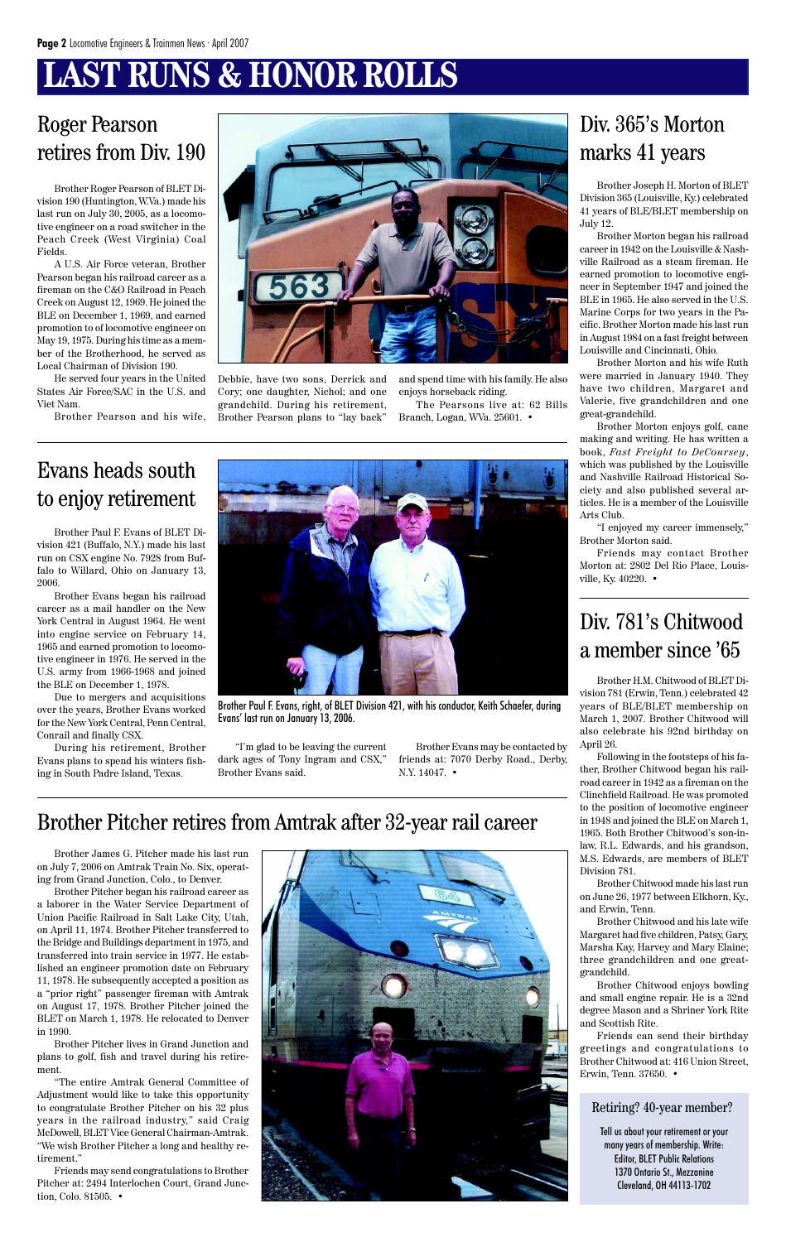# **LAST RUNS & HONOR ROLLS**

Brother Roger Pearson of BLET Division 190 (Huntington, W.Va.) made his last run on July 30, 2005, as a locomotive engineer on a road switcher in the Peach Creek (West Virginia) Coal Fields.

A U.S. Air Force veteran, Brother Pearson began his railroad career as a fireman on the C&O Railroad in Peach Creek on August 12, 1969. He joined the BLE on December 1, 1969, and earned promotion to of locomotive engineer on May 19, 1975. During his time as a member of the Brotherhood, he served as Local Chairman of Division 190.

He served four years in the United States Air Force/SAC in the U.S. and Viet Nam.

Brother Pearson and his wife,



### Roger Pearson retires from Div. 190

Debbie, have two sons, Derrick and Cory; one daughter, Nichol; and one grandchild. During his retirement, Brother Pearson plans to "lay back" and spend time with his family. He also enjoys horseback riding.

The Pearsons live at: 62 Bills Branch, Logan, WVa. 25601. •

Brother Joseph H. Morton of BLET Division 365 (Louisville, Ky.) celebrated 41 years of BLE/BLET membership on July 12.

Brother Morton began his railroad career in 1942 on the Louisville & Nashville Railroad as a steam fireman. He earned promotion to locomotive engineer in September 1947 and joined the BLE in 1965. He also served in the U.S. Marine Corps for two years in the Pacific. Brother Morton made his last run in August 1984 on a fast freight between Louisville and Cincinnati, Ohio.

Brother Morton and his wife Ruth were married in January 1940. They have two children, Margaret and Valerie, five grandchildren and one great-grandchild.

Brother Morton enjoys golf, cane making and writing. He has written a book, *Fast Freight to DeCoursey*, which was published by the Louisville and Nashville Railroad Historical Society and also published several articles. He is a member of the Louisville Arts Club.

"I enjoyed my career immensely," Brother Morton said.

Friends may contact Brother Morton at: 2802 Del Rio Place, Louisville, Ky. 40220. •

### Div. 365's Morton marks 41 years

Brother Paul F. Evans of BLET Division 421 (Buffalo, N.Y.) made his last run on CSX engine No. 7928 from Buffalo to Willard, Ohio on January 13, 2006.

Brother Evans began his railroad career as a mail handler on the New York Central in August 1964. He went into engine service on February 14, 1965 and earned promotion to locomotive engineer in 1976. He served in the U.S. army from 1966-1968 and joined the BLE on December 1, 1978.

Due to mergers and acquisitions over the years, Brother Evans worked for the New York Central, Penn Central, Conrail and finally CSX.

During his retirement, Brother Evans plans to spend his winters fishing in South Padre Island, Texas.

### Evans heads south to enjoy retirement



Brother Paul F. Evans, right, of BLET Division 421, with his conductor, Keith Schaefer, during Evans' last run on January 13, 2006.

"I'm glad to be leaving the current dark ages of Tony Ingram and CSX," Brother Evans said.

Brother Evans may be contacted by friends at: 7070 Derby Road., Derby, N.Y. 14047. •

Brother James G. Pitcher made his last run on July 7, 2006 on Amtrak Train No. Six, operating from Grand Junction, Colo., to Denver.

Brother Pitcher began his railroad career as a laborer in the Water Service Department of



Union Pacific Railroad in Salt Lake City, Utah, on April 11, 1974. Brother Pitcher transferred to the Bridge and Buildings department in 1975, and transferred into train service in 1977. He established an engineer promotion date on February 11, 1978. He subsequently accepted a position as a "prior right" passenger fireman with Amtrak on August 17, 1978. Brother Pitcher joined the BLET on March 1, 1978. He relocated to Denver in 1990.

Brother Pitcher lives in Grand Junction and plans to golf, fish and travel during his retirement.

"The entire Amtrak General Committee of Adjustment would like to take this opportunity to congratulate Brother Pitcher on his 32 plus years in the railroad industry," said Craig McDowell, BLET Vice General Chairman-Amtrak. "We wish Brother Pitcher a long and healthy retirement."

Friends may send congratulations to Brother Pitcher at: 2494 Interlochen Court, Grand Junction, Colo. 81505. •

### Brother Pitcher retires from Amtrak after 32-year rail career

Brother H.M. Chitwood of BLET Division 781 (Erwin, Tenn.) celebrated 42 years of BLE/BLET membership on March 1, 2007. Brother Chitwood will also celebrate his 92nd birthday on April 26.

Following in the footsteps of his father, Brother Chitwood began his railroad career in 1942 as a fireman on the Clinchfield Railroad. He was promoted to the position of locomotive engineer in 1948 and joined the BLE on March 1, 1965. Both Brother Chitwood's son-inlaw, R.L. Edwards, and his grandson, M.S. Edwards, are members of BLET Division 781.

Brother Chitwood made his last run on June 26, 1977 between Elkhorn, Ky., and Erwin, Tenn. Brother Chitwood and his late wife Margaret had five children, Patsy, Gary, Marsha Kay, Harvey and Mary Elaine; three grandchildren and one greatgrandchild.

Brother Chitwood enjoys bowling and small engine repair. He is a 32nd degree Mason and a Shriner York Rite and Scottish Rite.

Friends can send their birthday greetings and congratulations to Brother Chitwood at: 416 Union Street, Erwin, Tenn. 37650. •

### Div. 781's Chitwood a member since '65

#### Retiring? 40-year member?

Tell us about your retirement or your many years of membership. Write: Editor, BLET Public Relations 1370 Ontario St., Mezzanine Cleveland, OH 44113-1702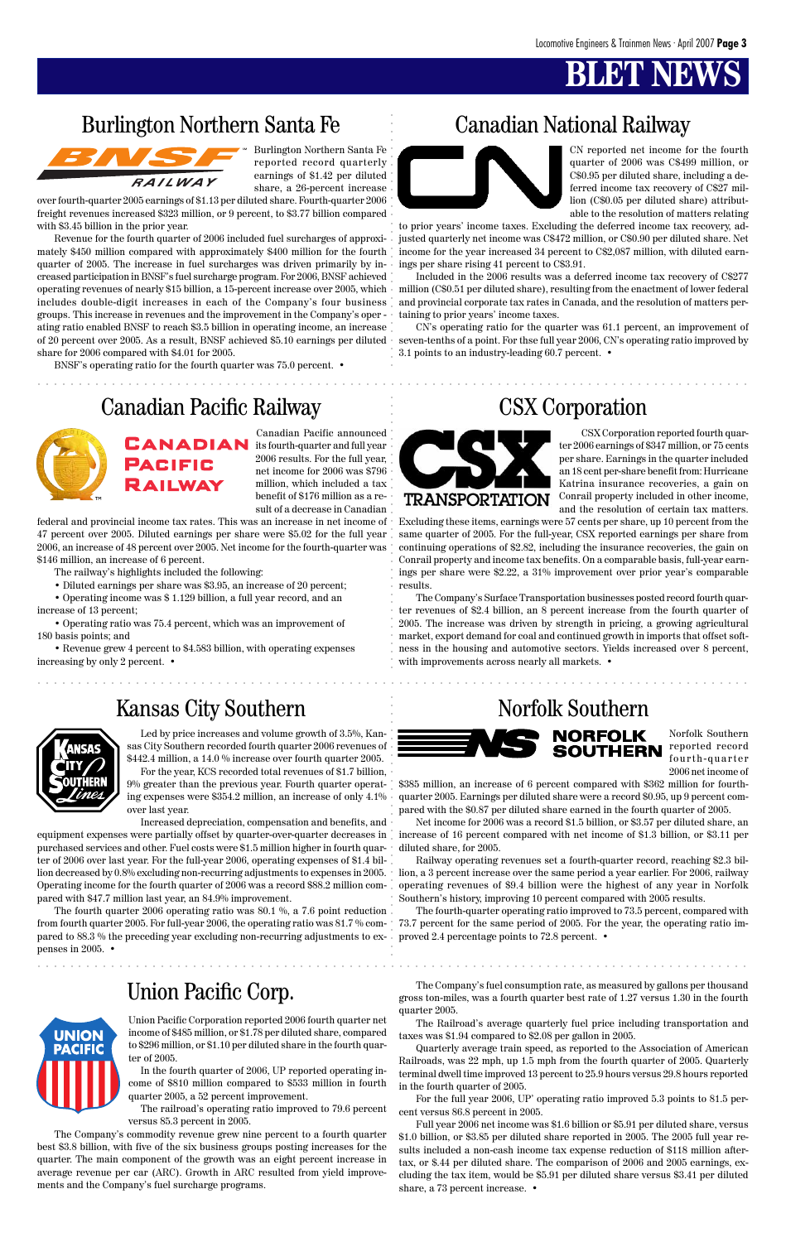### Burlington Northern Santa Fe Canadian National Railway



### Canadian Pacific Railway CSX Corporation



### Union Pacific Corp.



aaaaaaaaaaaaaaaaaaaaaaaaaaaaaaaaaaaaaaaaaaaaaaaaaaaaaaaaaaaaaaaaaaaaaaaa aaaaaaaaaaaaaaa

. . . . . . . . . . .



aaaaaaaaaaaaaaaaaaaaaaaaaaaaaaaaaaaaaaaaaaaaaaaaaaaaaaaaaaaaaaaaaa aaaaaaaaaaaaaaaaaaaaa

Burlington Northern Santa Fe reported record quarterly earnings of \$1.42 per diluted share, a 26-percent increase

over fourth-quarter 2005 earnings of \$1.13 per diluted share. Fourth-quarter 2006 freight revenues increased \$323 million, or 9 percent, to \$3.77 billion compared with \$3.45 billion in the prior year.

**Burlington Northern Santa Fe Canadian National Railway**<br> **Absorber Canadian System Santa Canadian System Santa Canadian System Santa Canadian System Santa Canadian System Santa Canadian System Santa Canadian System Santa** Revenue for the fourth quarter of 2006 included fuel surcharges of approximately \$450 million compared with approximately \$400 million for the fourth quarter of 2005. The increase in fuel surcharges was driven primarily by increased participation in BNSF's fuel surcharge program. For 2006, BNSF achieved operating revenues of nearly \$15 billion, a 15-percent increase over 2005, which includes double-digit increases in each of the Company's four business groups.␣ This increase in revenues and the improvement in the Company's oper ating ratio enabled BNSF to reach \$3.5 billion in operating income, an increase of 20 percent over 2005. As a result, BNSF achieved \$5.10 earnings per diluted share for 2006 compared with \$4.01 for 2005.

BNSF's operating ratio for the fourth quarter was 75.0 percent. •

![](_page_2_Picture_9.jpeg)

CN reported net income for the fourth quarter of 2006 was C\$499 million, or C\$0.95 per diluted share, including a deferred income tax recovery of C\$27 million (C\$0.05 per diluted share) attributable to the resolution of matters relating

to prior years' income taxes. Excluding the deferred income tax recovery, adjusted quarterly net income was C\$472 million, or C\$0.90 per diluted share. Net income for the year increased 34 percent to C\$2,087 million, with diluted earnings per share rising 41 percent to C\$3.91.

Included in the 2006 results was a deferred income tax recovery of C\$277 million (C\$0.51 per diluted share), resulting from the enactment of lower federal and provincial corporate tax rates in Canada, and the resolution of matters pertaining to prior years' income taxes.

CN's operating ratio for the quarter was 61.1 percent, an improvement of seven-tenths of a point. For thse full year 2006, CN's operating ratio improved by 3.1 points to an industry-leading 60.7 percent. •

Canadian Pacific announced its fourth-quarter and full year 2006 results. For the full year, net income for 2006 was \$796 million, which included a tax benefit of \$176 million as a result of a decrease in Canadian

federal and provincial income tax rates. This was an increase in net income of 47 percent over 2005. Diluted earnings per share were \$5.02 for the full year 2006, an increase of 48 percent over 2005. Net income for the fourth-quarter was \$146 million, an increase of 6 percent.

The railway's highlights included the following:

• Diluted earnings per share was \$3.95, an increase of 20 percent;

• Operating income was \$ 1.129 billion, a full year record, and an

increase of 13 percent; • Operating ratio was 75.4 percent, which was an improvement of

180 basis points; and

• Revenue grew 4 percent to \$4.583 billion, with operating expenses increasing by only 2 percent. •

![](_page_2_Picture_24.jpeg)

CSX Corporation reported fourth quarter 2006 earnings of \$347 million, or 75 cents per share. Earnings in the quarter included an 18 cent per-share benefit from: Hurricane Katrina insurance recoveries, a gain on Conrail property included in other income, and the resolution of certain tax matters.

Excluding these items, earnings were 57 cents per share, up 10 percent from the same quarter of 2005. For the full-year, CSX reported earnings per share from continuing operations of \$2.82, including the insurance recoveries, the gain on Conrail property and income tax benefits. On a comparable basis, full-year earnings per share were \$2.22, a 31% improvement over prior year's comparable results.

Full year 2006 net income was \$1.6 billion or \$5.91 per diluted share, versus \$1.0 billion, or \$3.85 per diluted share reported in 2005. The 2005 full year results included a non-cash income tax expense reduction of \$118 million aftertax, or \$.44 per diluted share. The comparison of 2006 and 2005 earnings, excluding the tax item, would be \$5.91 per diluted share versus \$3.41 per diluted share, a 73 percent increase. •

The Company's Surface Transportation businesses posted record fourth quarter revenues of \$2.4 billion, an 8 percent increase from the fourth quarter of 2005. The increase was driven by strength in pricing, a growing agricultural market, export demand for coal and continued growth in imports that offset softness in the housing and automotive sectors. Yields increased over 8 percent, with improvements across nearly all markets. •

Led by price increases and volume growth of 3.5%, Kansas City Southern recorded fourth quarter 2006 revenues of \$442.4 million, a 14.0 % increase over fourth quarter 2005. For the year, KCS recorded total revenues of \$1.7 billion, 9% greater than the previous year. Fourth quarter operating expenses were \$354.2 million, an increase of only 4.1% over last year.

Increased depreciation, compensation and benefits, and equipment expenses were partially offset by quarter-over-quarter decreases in increase of 16 percent compared with net income of \$1.3 billion, or \$3.11 per purchased services and other. Fuel costs were \$1.5 million higher in fourth quarter of 2006 over last year. For the full-year 2006, operating expenses of \$1.4 billion decreased by 0.8% excluding non-recurring adjustments to expenses in 2005. Operating income for the fourth quarter of 2006 was a record \$88.2 million compared with \$47.7 million last year, an 84.9% improvement.

The fourth quarter 2006 operating ratio was 80.1 %, a 7.6 point reduction

from fourth quarter 2005. For full-year 2006, the operating ratio was 81.7 % com-73.7 percent for the same period of 2005. For the year, the operating ratio impared to 88.3 % the preceding year excluding non-recurring adjustments to ex- proved 2.4 percentage points to 72.8 percent. • penses in 2005. •

Norfolk Southern reported record **SOUTHERN** fourth-quarter 2006 net income of

### Kansas City Southern Norfolk Southern

![](_page_2_Picture_27.jpeg)

\$385 million, an increase of 6 percent compared with \$362 million for fourthquarter 2005. Earnings per diluted share were a record \$0.95, up 9 percent compared with the \$0.87 per diluted share earned in the fourth quarter of 2005.

**NORFOLK** 

Net income for 2006 was a record \$1.5 billion, or \$3.57 per diluted share, an diluted share, for 2005.

Railway operating revenues set a fourth-quarter record, reaching \$2.3 billion, a 3 percent increase over the same period a year earlier. For 2006, railway operating revenues of \$9.4 billion were the highest of any year in Norfolk Southern's history, improving 10 percent compared with 2005 results.

The fourth-quarter operating ratio improved to 73.5 percent, compared with

Union Pacific Corporation reported 2006 fourth quarter net income of \$485 million, or \$1.78 per diluted share, compared to \$296 million, or \$1.10 per diluted share in the fourth quarter of 2005.

In the fourth quarter of 2006, UP reported operating income of \$810 million compared to \$533 million in fourth quarter 2005, a 52 percent improvement.

The railroad's operating ratio improved to 79.6 percent versus 85.3 percent in 2005.

The Company's commodity revenue grew nine percent to a fourth quarter best \$3.8 billion, with five of the six business groups posting increases for the quarter. The main component of the growth was an eight percent increase in average revenue per car (ARC). Growth in ARC resulted from yield improvements and the Company's fuel surcharge programs.

The Company's fuel consumption rate, as measured by gallons per thousand gross ton-miles, was a fourth quarter best rate of 1.27 versus 1.30 in the fourth quarter 2005.

The Railroad's average quarterly fuel price including transportation and taxes was \$1.94 compared to \$2.08 per gallon in 2005.

Quarterly average train speed, as reported to the Association of American Railroads, was 22 mph, up 1.5 mph from the fourth quarter of 2005. Quarterly terminal dwell time improved 13 percent to 25.9 hours versus 29.8 hours reported in the fourth quarter of 2005.

For the full year 2006, UP' operating ratio improved 5.3 points to 81.5 percent versus 86.8 percent in 2005.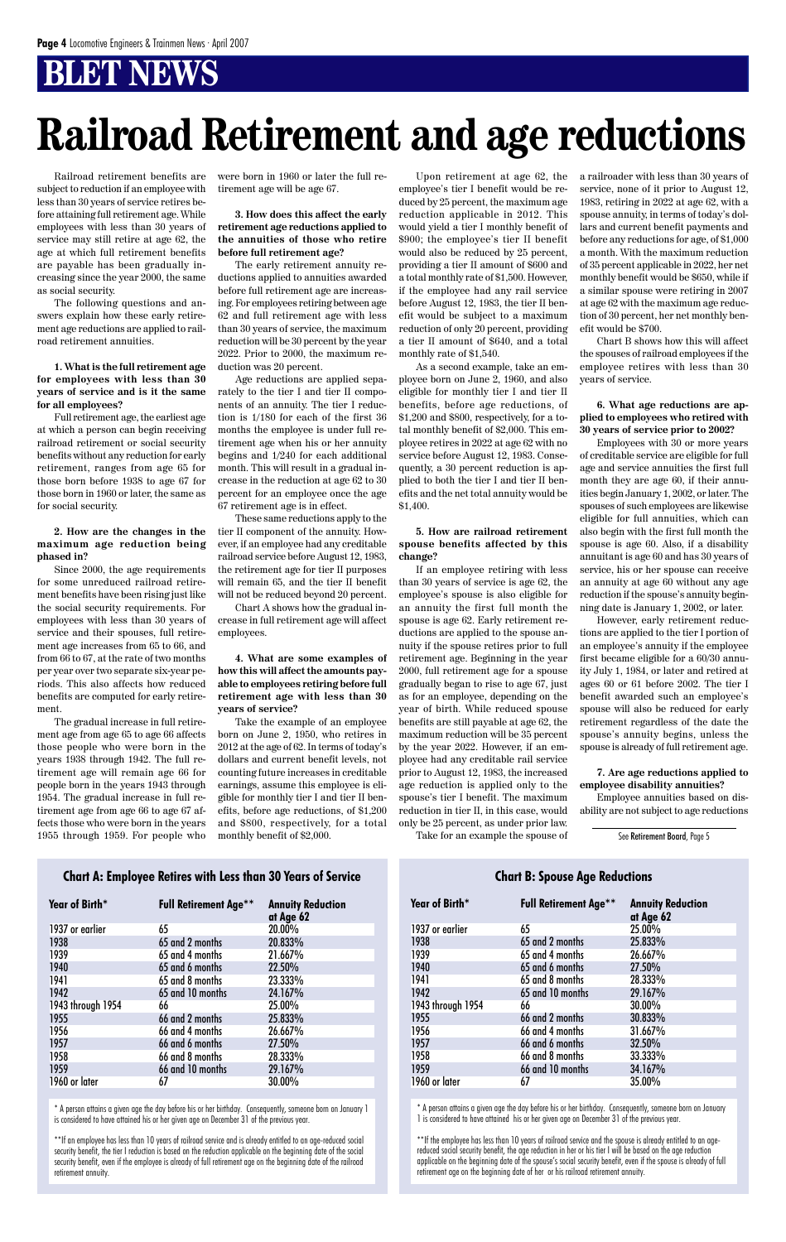Railroad retirement benefits are subject to reduction if an employee with less than 30 years of service retires before attaining full retirement age. While employees with less than 30 years of service may still retire at age 62, the age at which full retirement benefits are payable has been gradually increasing since the year 2000, the same as social security.

The following questions and answers explain how these early retirement age reductions are applied to railroad retirement annuities.

#### **1. What is the full retirement age for employees with less than 30 years of service and is it the same for all employees?**

Full retirement age, the earliest age at which a person can begin receiving railroad retirement or social security benefits without any reduction for early retirement, ranges from age 65 for those born before 1938 to age 67 for those born in 1960 or later, the same as for social security.

#### **2. How are the changes in the maximum age reduction being phased in?**

Since 2000, the age requirements for some unreduced railroad retirement benefits have been rising just like the social security requirements. For employees with less than 30 years of service and their spouses, full retirement age increases from 65 to 66, and from 66 to 67, at the rate of two months per year over two separate six-year periods. This also affects how reduced benefits are computed for early retirement.

The gradual increase in full retirement age from age 65 to age 66 affects those people who were born in the years 1938 through 1942. The full retirement age will remain age 66 for people born in the years 1943 through 1954. The gradual increase in full retirement age from age 66 to age 67 affects those who were born in the years 1955 through 1959. For people who were born in 1960 or later the full retirement age will be age 67.

#### **3. How does this affect the early retirement age reductions applied to the annuities of those who retire before full retirement age?**

The early retirement annuity reductions applied to annuities awarded before full retirement age are increasing. For employees retiring between age 62 and full retirement age with less than 30 years of service, the maximum reduction will be 30 percent by the year 2022. Prior to 2000, the maximum reduction was 20 percent.

Age reductions are applied separately to the tier I and tier II components of an annuity. The tier I reduction is 1/180 for each of the first 36 months the employee is under full retirement age when his or her annuity begins and 1/240 for each additional month. This will result in a gradual increase in the reduction at age 62 to 30 percent for an employee once the age 67 retirement age is in effect.

These same reductions apply to the tier II component of the annuity. However, if an employee had any creditable railroad service before August 12, 1983, the retirement age for tier II purposes will remain 65, and the tier II benefit will not be reduced beyond 20 percent.

Chart A shows how the gradual increase in full retirement age will affect employees.

**4. What are some examples of how this will affect the amounts payable to employees retiring before full retirement age with less than 30 years of service?**

Take the example of an employee born on June 2, 1950, who retires in 2012 at the age of 62. In terms of today's dollars and current benefit levels, not counting future increases in creditable earnings, assume this employee is eligible for monthly tier I and tier II benefits, before age reductions, of \$1,200 and \$800, respectively, for a total monthly benefit of \$2,000.

Upon retirement at age 62, the employee's tier I benefit would be reduced by 25 percent, the maximum age reduction applicable in 2012. This would yield a tier I monthly benefit of \$900; the employee's tier II benefit would also be reduced by 25 percent, providing a tier II amount of \$600 and a total monthly rate of \$1,500. However, if the employee had any rail service before August 12, 1983, the tier II benefit would be subject to a maximum reduction of only 20 percent, providing a tier II amount of \$640, and a total monthly rate of \$1,540.

As a second example, take an employee born on June 2, 1960, and also eligible for monthly tier I and tier II benefits, before age reductions, of \$1,200 and \$800, respectively, for a total monthly benefit of \$2,000. This employee retires in 2022 at age 62 with no service before August 12, 1983. Consequently, a 30 percent reduction is applied to both the tier I and tier II benefits and the net total annuity would be \$1,400.

#### **5. How are railroad retirement spouse benefits affected by this change?**

If an employee retiring with less than 30 years of service is age 62, the employee's spouse is also eligible for an annuity the first full month the spouse is age 62. Early retirement reductions are applied to the spouse annuity if the spouse retires prior to full retirement age. Beginning in the year 2000, full retirement age for a spouse gradually began to rise to age 67, just as for an employee, depending on the year of birth. While reduced spouse benefits are still payable at age 62, the maximum reduction will be 35 percent by the year 2022. However, if an employee had any creditable rail service prior to August 12, 1983, the increased age reduction is applied only to the spouse's tier I benefit. The maximum reduction in tier II, in this case, would only be 25 percent, as under prior law.

Take for an example the spouse of

a railroader with less than 30 years of service, none of it prior to August 12, 1983, retiring in 2022 at age 62, with a spouse annuity, in terms of today's dollars and current benefit payments and before any reductions for age, of \$1,000 a month. With the maximum reduction of 35 percent applicable in 2022, her net monthly benefit would be \$650, while if a similar spouse were retiring in 2007 at age 62 with the maximum age reduction of 30 percent, her net monthly benefit would be \$700.

Chart B shows how this will affect the spouses of railroad employees if the employee retires with less than 30 years of service.

#### **6. What age reductions are applied to employees who retired with 30 years of service prior to 2002?**

Employees with 30 or more years of creditable service are eligible for full age and service annuities the first full month they are age 60, if their annuities begin January 1, 2002, or later. The spouses of such employees are likewise eligible for full annuities, which can also begin with the first full month the spouse is age 60. Also, if a disability annuitant is age 60 and has 30 years of service, his or her spouse can receive an annuity at age 60 without any age reduction if the spouse's annuity beginning date is January 1, 2002, or later.

However, early retirement reductions are applied to the tier I portion of an employee's annuity if the employee first became eligible for a 60/30 annuity July 1, 1984, or later and retired at ages 60 or 61 before 2002. The tier I benefit awarded such an employee's spouse will also be reduced for early retirement regardless of the date the spouse's annuity begins, unless the spouse is already of full retirement age.

#### **7. Are age reductions applied to employee disability annuities?**

Employee annuities based on disability are not subject to age reductions

# **Railroad Retirement and age reductions**

#### **Chart A: Employee Retires with Less than 30 Years of Service**

**Year of Birth\* Full Retirement Age\*\* Annuity Reduction**

|                   |                  | at Age 62 |
|-------------------|------------------|-----------|
| 1937 or earlier   | 65               | 20.00%    |
| 1938              | 65 and 2 months  | 20.833%   |
| 1939              | 65 and 4 months  | 21.667%   |
| 1940              | 65 and 6 months  | 22.50%    |
| 1941              | 65 and 8 months  | 23.333%   |
| 1942              | 65 and 10 months | 24.167%   |
| 1943 through 1954 | 66               | 25.00%    |
| 1955              | 66 and 2 months  | 25.833%   |
| 1956              | 66 and 4 months  | 26.667%   |
| 1957              | 66 and 6 months  | 27.50%    |
| 1958              | 66 and 8 months  | 28.333%   |
| 1959              | 66 and 10 months | 29.167%   |
| 1960 or later     | 6/               | 30.00%    |

\* A person attains a given age the day before his or her birthday. Consequently, someone born on January 1 is considered to have attained his or her given age on December 31 of the previous year.

\*\*If an employee has less than 10 years of railroad service and is already entitled to an age-reduced social security benefit, the tier I reduction is based on the reduction applicable on the beginning date of the social security benefit, even if the employee is already of full retirement age on the beginning date of the railroad retirement annuity.

**Chart B: Spouse Age Reductions**

**Year of Birth\* Full Retirement Age\*\* Annuity Reduction**

|                   |                  | at Age 62 |
|-------------------|------------------|-----------|
| 1937 or earlier   | 65               | 25.00%    |
| 1938              | 65 and 2 months  | 25.833%   |
| 1939              | 65 and 4 months  | 26.667%   |
| 1940              | 65 and 6 months  | 27.50%    |
| 1941              | 65 and 8 months  | 28.333%   |
| 1942              | 65 and 10 months | 29.167%   |
| 1943 through 1954 | 66               | 30.00%    |
| 1955              | 66 and 2 months  | 30.833%   |
| 1956              | 66 and 4 months  | 31.667%   |
| 1957              | 66 and 6 months  | 32.50%    |
| 1958              | 66 and 8 months  | 33.333%   |
| 1959              | 66 and 10 months | 34.167%   |
| 1960 or later     | 67               | 35.00%    |

\* A person attains a given age the day before his or her birthday. Consequently, someone born on January 1 is considered to have attained his or her given age on December 31 of the previous year.

\*\*If the employee has less than 10 years of railroad service and the spouse is already entitled to an agereduced social security benefit, the age reduction in her or his tier I will be based on the age reduction applicable on the beginning date of the spouse's social security benefit, even if the spouse is already of full retirement age on the beginning date of her or his railroad retirement annuity.

See Retirement Board, Page 5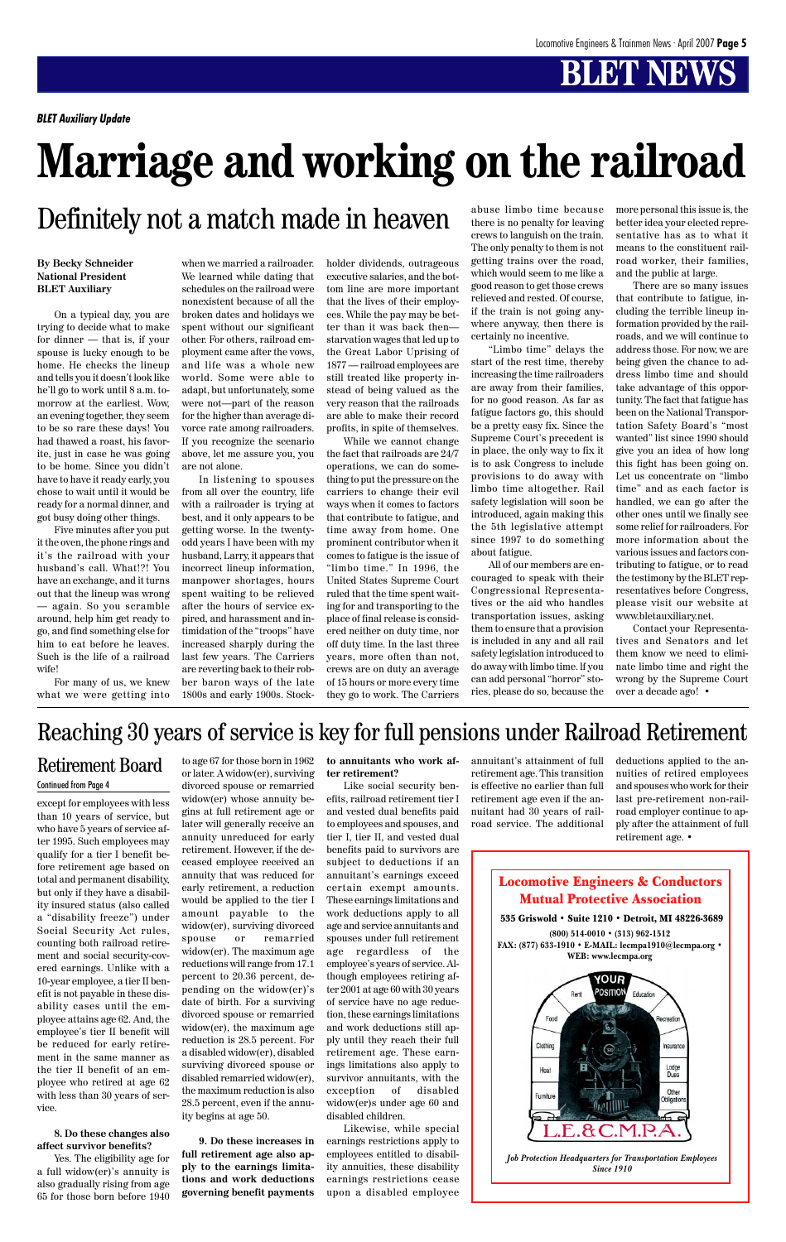Locomotive Engineers & Conductors Mutual Protective Association

![](_page_4_Figure_33.jpeg)

*Job Protection Headquarters for Transportation Employees Since 1910*

#### **By Becky Schneider National President BLET Auxiliary**

On a typical day, you are trying to decide what to make for dinner — that is, if your spouse is lucky enough to be home. He checks the lineup and tells you it doesn't look like he'll go to work until 8 a.m. tomorrow at the earliest. Wow, an evening together, they seem to be so rare these days! You had thawed a roast, his favorite, just in case he was going to be home. Since you didn't have to have it ready early, you chose to wait until it would be ready for a normal dinner, and got busy doing other things.

Five minutes after you put it the oven, the phone rings and it's the railroad with your husband's call. What!?! You have an exchange, and it turns out that the lineup was wrong — again. So you scramble around, help him get ready to go, and find something else for him to eat before he leaves. Such is the life of a railroad wife!

For many of us, we knew what we were getting into when we married a railroader.

We learned while dating that schedules on the railroad were nonexistent because of all the broken dates and holidays we spent without our significant other. For others, railroad employment came after the vows, and life was a whole new world. Some were able to

adapt, but unfortunately, some were not—part of the reason for the higher than average divorce rate among railroaders. If you recognize the scenario above, let me assure you, you are not alone.

In listening to spouses from all over the country, life with a railroader is trying at best, and it only appears to be getting worse. In the twentyodd years I have been with my husband, Larry, it appears that incorrect lineup information, manpower shortages, hours spent waiting to be relieved after the hours of service expired, and harassment and intimidation of the "troops" have increased sharply during the last few years. The Carriers are reverting back to their robber baron ways of the late 1800s and early 1900s. Stockholder dividends, outrageous executive salaries, and the bottom line are more important that the lives of their employees. While the pay may be better than it was back then starvation wages that led up to the Great Labor Uprising of 1877 — railroad employees are still treated like property instead of being valued as the very reason that the railroads are able to make their record profits, in spite of themselves.

While we cannot change the fact that railroads are 24/7 operations, we can do something to put the pressure on the carriers to change their evil ways when it comes to factors that contribute to fatigue, and time away from home. One prominent contributor when it comes to fatigue is the issue of "limbo time." In 1996, the United States Supreme Court ruled that the time spent waiting for and transporting to the place of final release is considered neither on duty time, nor off duty time. In the last three years, more often than not, crews are on duty an average of 15 hours or more every time they go to work. The Carriers

abuse limbo time because there is no penalty for leaving crews to languish on the train. The only penalty to them is not getting trains over the road, which would seem to me like a good reason to get those crews relieved and rested. Of course, if the train is not going anywhere anyway, then there is certainly no incentive.

"Limbo time" delays the start of the rest time, thereby increasing the time railroaders are away from their families, for no good reason. As far as fatigue factors go, this should be a pretty easy fix. Since the Supreme Court's precedent is in place, the only way to fix it is to ask Congress to include provisions to do away with limbo time altogether. Rail safety legislation will soon be introduced, again making this the 5th legislative attempt since 1997 to do something about fatigue.

All of our members are encouraged to speak with their Congressional Representatives or the aid who handles transportation issues, asking them to ensure that a provision is included in any and all rail safety legislation introduced to do away with limbo time. lf you can add personal "horror" stories, please do so, because the more personal this issue is, the better idea your elected representative has as to what it means to the constituent railroad worker, their families, and the public at large.

There are so many issues that contribute to fatigue, including the terrible lineup information provided by the railroads, and we will continue to address those. For now, we are being given the chance to address limbo time and should take advantage of this opportunity. The fact that fatigue has been on the National Transportation Safety Board's "most wanted" list since 1990 should give you an idea of how long this fight has been going on. Let us concentrate on "limbo time" and as each factor is handled, we can go after the other ones until we finally see some relief for railroaders. For more information about the various issues and factors contributing to fatigue, or to read the testimony by the BLET representatives before Congress, please visit our website at www.bletauxiliary.net.

Contact your Representatives and Senators and let them know we need to eliminate limbo time and right the wrong by the Supreme Court over a decade ago! •

# **Marriage and working on the railroad**

### Definitely not a match made in heaven

except for employees with less than 10 years of service, but who have 5 years of service after 1995. Such employees may qualify for a tier I benefit before retirement age based on total and permanent disability, but only if they have a disability insured status (also called

a "disability freeze") under Social Security Act rules, counting both railroad retirement and social security-covered earnings. Unlike with a 10-year employee, a tier II benefit is not payable in these disability cases until the employee attains age 62. And, the employee's tier II benefit will be reduced for early retirement in the same manner as the tier II benefit of an employee who retired at age 62 with less than 30 years of service.

#### **8. Do these changes also affect survivor benefits?**

Yes. The eligibility age for a full widow(er)'s annuity is also gradually rising from age 65 for those born before 1940 to age 67 for those born in 1962

or later. A widow(er), surviving divorced spouse or remarried widow(er) whose annuity begins at full retirement age or later will generally receive an annuity unreduced for early retirement. However, if the deceased employee received an annuity that was reduced for early retirement, a reduction would be applied to the tier I amount payable to the widow(er), surviving divorced spouse or remarried widow(er). The maximum age reductions will range from 17.1 percent to 20.36 percent, depending on the widow(er)'s date of birth. For a surviving divorced spouse or remarried widow(er), the maximum age reduction is 28.5 percent. For a disabled widow(er), disabled surviving divorced spouse or disabled remarried widow(er), the maximum reduction is also 28.5 percent, even if the annuity begins at age 50.

**9. Do these increases in full retirement age also apply to the earnings limitations and work deductions governing benefit payments**

#### **to annuitants who work after retirement?**

Like social security benefits, railroad retirement tier I and vested dual benefits paid to employees and spouses, and tier I, tier II, and vested dual benefits paid to survivors are subject to deductions if an annuitant's earnings exceed certain exempt amounts. These earnings limitations and work deductions apply to all age and service annuitants and spouses under full retirement age regardless of the employee's years of service. Although employees retiring after 2001 at age 60 with 30 years of service have no age reduction, these earnings limitations and work deductions still apply until they reach their full retirement age. These earnings limitations also apply to survivor annuitants, with the exception of disabled widow(er)s under age 60 and disabled children. Likewise, while special earnings restrictions apply to employees entitled to disability annuities, these disability earnings restrictions cease upon a disabled employee

#### Retirement Board Continued from Page 4

### Reaching 30 years of service is key for full pensions under Railroad Retirement

annuitant's attainment of full retirement age. This transition is effective no earlier than full retirement age even if the annuitant had 30 years of railroad service. The additional deductions applied to the annuities of retired employees and spouses who work for their last pre-retirement non-railroad employer continue to apply after the attainment of full retirement age. •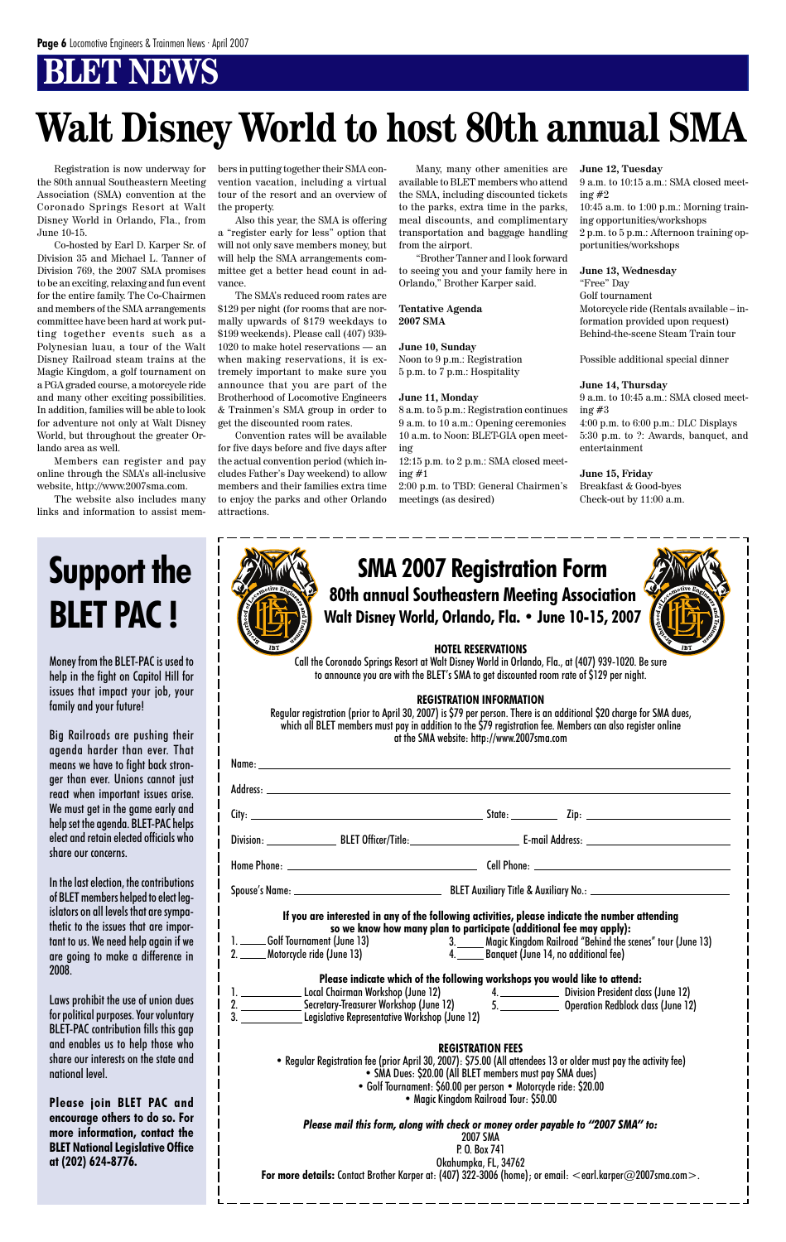### **BT NBWS**

### **80th annual Southeastern Meeting Association Walt Disney World, Orlando, Fla. • June 10-15, 2007 SMA 2007 Registration Form**

![](_page_5_Picture_33.jpeg)

#### **HOTEL RESERVATIONS**

Call the Coronado Springs Resort at Walt Disney World in Orlando, Fla., at (407) 939-1020. Be sure to announce you are with the BLET's SMA to get discounted room rate of \$129 per night.

#### **REGISTRATION INFORMATION**

**Please indicate which of the following workshops you would like to attend:** 1. Local Chairman Workshop (June 12) 2. Secretary-Treasurer Workshop (June 12) 3. Legislative Representative Workshop (June 12) 4. Division President class (June 12) **Operation Redblock class (June 12)** 

Regular registration (prior to April 30, 2007) is \$79 per person. There is an additional \$20 charge for SMA dues, which all BLET members must pay in addition to the \$79 registration fee. Members can also register online at the SMA website: http://www.2007sma.com

#### **REGISTRATION FEES**

**If you are interested in any of the following activities, please indicate the number attending so we know how many plan to participate (additional fee may apply):** 1. **Colf Tournament (June 13)** 2. Motorcycle ride (June 13) 3. Magic Kingdom Railroad "Behind the scenes" tour (June 13)<br>4. Banauet (June 14, no additional fee) 4. Banquet (June 14, no additional fee)

• Regular Registration fee (prior April 30, 2007): \$75.00 (All attendees 13 or older must pay the activity fee) • SMA Dues: \$20.00 (All BLET members must pay SMA dues) • Golf Tournament: \$60.00 per person • Motorcycle ride: \$20.00 • Magic Kingdom Railroad Tour: \$50.00

*Please mail this form, along with check or money order payable to "2007 SMA" to:*

2007 SMA P. O. Box 741 Okahumpka, FL, 34762 **For more details:** Contact Brother Karper at: (407) 322-3006 (home); or email: <earl.karper@2007sma.com>.

Registration is now underway for the 80th annual Southeastern Meeting Association (SMA) convention at the Coronado Springs Resort at Walt Disney World in Orlando, Fla., from June 10-15.

> 12:15 p.m. to 2 p.m.: SMA closed meeting  $#1$

Co-hosted by Earl D. Karper Sr. of Division 35 and Michael L. Tanner of Division 769, the 2007 SMA promises to be an exciting, relaxing and fun event for the entire family. The Co-Chairmen and members of the SMA arrangements committee have been hard at work putting together events such as a Polynesian luau, a tour of the Walt Disney Railroad steam trains at the Magic Kingdom, a golf tournament on a PGA graded course, a motorcycle ride and many other exciting possibilities. In addition, families will be able to look for adventure not only at Walt Disney World, but throughout the greater Orlando area as well.

Members can register and pay online through the SMA's all-inclusive website, http://www.2007sma.com.

The website also includes many links and information to assist members in putting together their SMA convention vacation, including a virtual tour of the resort and an overview of the property.

Also this year, the SMA is offering a "register early for less" option that will not only save members money, but will help the SMA arrangements committee get a better head count in advance.

The SMA's reduced room rates are \$129 per night (for rooms that are normally upwards of \$179 weekdays to \$199 weekends). Please call (407) 939- 1020 to make hotel reservations — an when making reservations, it is extremely important to make sure you announce that you are part of the Brotherhood of Locomotive Engineers & Trainmen's SMA group in order to get the discounted room rates.

Convention rates will be available for five days before and five days after the actual convention period (which includes Father's Day weekend) to allow members and their families extra time to enjoy the parks and other Orlando attractions.

Many, many other amenities are available to BLET members who attend the SMA, including discounted tickets to the parks, extra time in the parks, meal discounts, and complimentary transportation and baggage handling from the airport.

"Brother Tanner and I look forward to seeing you and your family here in Orlando," Brother Karper said.

**Tentative Agenda 2007 SMA**

**June 10, Sunday** Noon to 9 p.m.: Registration 5 p.m. to 7 p.m.: Hospitality

#### **June 11, Monday**

8 a.m. to 5 p.m.: Registration continues 9 a.m. to 10 a.m.: Opening ceremonies 10 a.m. to Noon: BLET-GIA open meeting

2:00 p.m. to TBD: General Chairmen's meetings (as desired)

#### **June 12, Tuesday**

9 a.m. to 10:15 a.m.: SMA closed meeting #2

10:45 a.m. to 1:00 p.m.: Morning training opportunities/workshops 2 p.m. to 5 p.m.: Afternoon training opportunities/workshops

#### **June 13, Wednesday**

"Free" Day Golf tournament Motorcycle ride (Rentals available – information provided upon request) Behind-the-scene Steam Train tour

Possible additional special dinner

**June 14, Thursday** 9 a.m. to 10:45 a.m.: SMA closed meeting #3 4:00 p.m. to 6:00 p.m.: DLC Displays 5:30 p.m. to ?: Awards, banquet, and entertainment

**June 15, Friday** Breakfast & Good-byes Check-out by 11:00 a.m.

# **Walt Disney World to host 80th annual SMA**

Money from the BLET-PAC is used to help in the fight on Capitol Hill for issues that impact your job, your family and your future!

Big Railroads are pushing their agenda harder than ever. That means we have to fight back stronger than ever. Unions cannot just react when important issues arise. We must get in the game early and help set the agenda. BLET-PAC helps elect and retain elected officials who share our concerns.

In the last election, the contributions of BLET members helped to elect legislators on all levels that are sympathetic to the issues that are important to us. We need help again if we are going to make a difference in 2008.

| (E) |  |
|-----|--|
|     |  |
| IBT |  |

Laws prohibit the use of union dues for political purposes. Your voluntary BLET-PAC contribution fills this gap and enables us to help those who share our interests on the state and national level.

**Please join BLET PAC and encourage others to do so. For more information, contact the BLET National Legislative Office at (202) 624-8776.**

# **Support the BLET PAC !**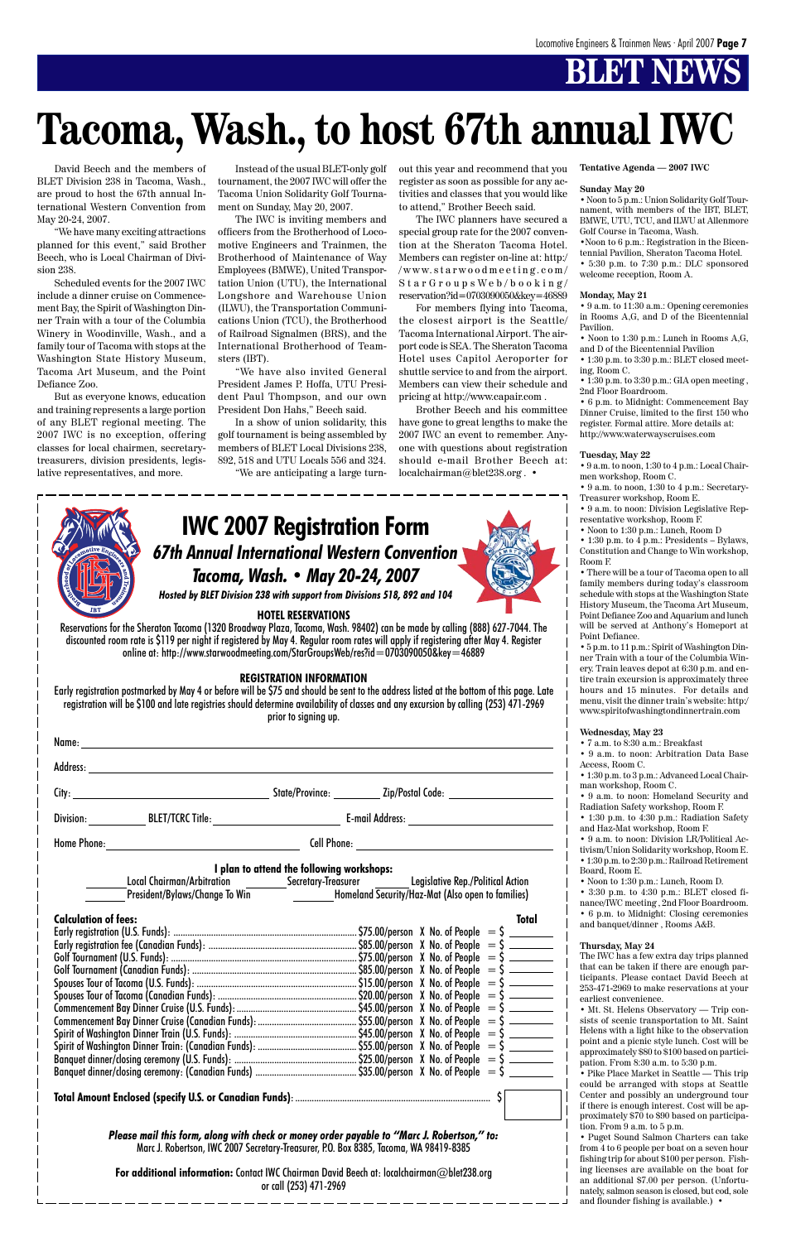### *67th Annual International Western Convention Tacoma, Wash. • May 20-24, 2007* **IWC 2007 Registration Form**

*Hosted by BLET Division 238 with support from Divisions 518, 892 and 104*

#### **HOTEL RESERVATIONS**

Reservations for the Sheraton Tacoma (1320 Broadway Plaza, Tacoma, Wash. 98402) can be made by calling (888) 627-7044. The discounted room rate is \$119 per night if registered by May 4. Regular room rates will apply if registering after May 4. Register online at:http://www.starwoodmeeting.com/StarGroupsWeb/res?id=0703090050&key=46889

#### **REGISTRATION INFORMATION**

Early registration postmarked by May 4 or before will be \$75 and should be sent to the address listed at the bottom of this page. Late registration will be \$100 and late registries should determine availability of classes and any excursion by calling (253) 471-2969 prior to signing up.

| Name:     |                                                                                                                                    |                                           |                                                                                  |
|-----------|------------------------------------------------------------------------------------------------------------------------------------|-------------------------------------------|----------------------------------------------------------------------------------|
|           |                                                                                                                                    |                                           |                                                                                  |
|           |                                                                                                                                    |                                           | State/Province: _________________ Zip/Postal Code: _____________________________ |
| Division: | BLET/TCRC Title: <u>__________________________</u>                                                                                 |                                           | E-mail Address: ________________________                                         |
|           |                                                                                                                                    |                                           |                                                                                  |
|           |                                                                                                                                    | I plan to attend the following workshops: |                                                                                  |
|           | Local Chairman/Arbitration _________Secretary-Treasurer _______Legislative Rep./Political Action<br>President/Bylaws/Change To Win |                                           | Homeland Security/Haz-Mat (Also open to families)                                |

| <b>Calculation of fees:</b> | Total |  |
|-----------------------------|-------|--|
|                             |       |  |
|                             |       |  |
|                             |       |  |
|                             |       |  |
|                             |       |  |
|                             |       |  |
|                             |       |  |
|                             |       |  |
|                             |       |  |
|                             |       |  |
|                             |       |  |
|                             |       |  |

**Total Amount Enclosed (specify U.S. or Canadian Funds)**: ................................................................................... \$

*Please mail this form, along with check or money order payable to "Marc J. Robertson," to:* Marc J. Robertson, IWC 2007 Secretary-Treasurer, P.O. Box 8385, Tacoma, WA 98419-8385

**For additional information:** Contact IWC Chairman David Beech at: localchairman@blet238.org or call (253) 471-2969

David Beech and the members of BLET Division 238 in Tacoma, Wash., are proud to host the 67th annual International Western Convention from May 20-24, 2007.

"We have many exciting attractions planned for this event," said Brother Beech, who is Local Chairman of Division 238.

Scheduled events for the 2007 IWC include a dinner cruise on Commencement Bay, the Spirit of Washington Dinner Train with a tour of the Columbia Winery in Woodinville, Wash., and a family tour of Tacoma with stops at the Washington State History Museum, Tacoma Art Museum, and the Point Defiance Zoo.

> • 1:30 p.m. to 4:30 p.m.: Radiation Safety and Haz-Mat workshop, Room F.

But as everyone knows, education and training represents a large portion of any BLET regional meeting. The 2007 IWC is no exception, offering classes for local chairmen, secretarytreasurers, division presidents, legislative representatives, and more.

Instead of the usual BLET-only golf tournament, the 2007 IWC will offer the Tacoma Union Solidarity Golf Tournament on Sunday, May 20, 2007.

The IWC is inviting members and officers from the Brotherhood of Locomotive Engineers and Trainmen, the Brotherhood of Maintenance of Way Employees (BMWE), United Transportation Union (UTU), the International Longshore and Warehouse Union (ILWU), the Transportation Communications Union (TCU), the Brotherhood of Railroad Signalmen (BRS), and the International Brotherhood of Teamsters (IBT).

"We have also invited General President James P. Hoffa, UTU President Paul Thompson, and our own President Don Hahs," Beech said.

In a show of union solidarity, this golf tournament is being assembled by members of BLET Local Divisions 238, 892, 518 and UTU Locals 556 and 324. "We are anticipating a large turnout this year and recommend that you register as soon as possible for any activities and classes that you would like to attend," Brother Beech said.

The IWC planners have secured a special group rate for the 2007 convention at the Sheraton Tacoma Hotel. Members can register on-line at: http:/ /www.starwoodmeeting.com/ StarGroupsWeb/booking/ reservation?id=0703090050&key=46889

For members flying into Tacoma, the closest airport is the Seattle/ Tacoma International Airport. The airport code is SEA. The Sheraton Tacoma Hotel uses Capitol Aeroporter for shuttle service to and from the airport. Members can view their schedule and pricing at http://www.capair.com .

Brother Beech and his committee have gone to great lengths to make the 2007 IWC an event to remember. Anyone with questions about registration should e-mail Brother Beech at: localchairman@blet238.org . •

![](_page_6_Picture_15.jpeg)

#### **Sunday May 20**

• Noon to 5 p.m.: Union Solidarity Golf Tournament, with members of the IBT, BLET, BMWE, UTU, TCU, and ILWU at Allenmore Golf Course in Tacoma, Wash.

•Noon to 6 p.m.: Registration in the Bicentennial Pavilion, Sheraton Tacoma Hotel.

• 5:30 p.m. to 7:30 p.m.: DLC sponsored welcome reception, Room A.

#### **Monday, May 21**

• 9 a.m. to 11:30 a.m.: Opening ceremonies in Rooms A,G, and D of the Bicentennial Pavilion.

• Noon to 1:30 p.m.: Lunch in Rooms A,G, and D of the Bicentennial Pavilion

• 1:30 p.m. to 3:30 p.m.: BLET closed meeting, Room C.

• 1:30 p.m. to 3:30 p.m.: GIA open meeting , 2nd Floor Boardroom.

• 6 p.m. to Midnight: Commencement Bay Dinner Cruise, limited to the first 150 who register. Formal attire. More details at: http://www.waterwayscruises.com

#### **Tuesday, May 22**

• 9 a.m. to noon, 1:30 to 4 p.m.: Local Chairmen workshop, Room C.

• 9 a.m. to noon, 1:30 to 4 p.m.: Secretary-Treasurer workshop, Room E.

• 9 a.m. to noon: Division Legislative Representative workshop, Room F.

• Noon to 1:30 p.m.: Lunch, Room D

• 1:30 p.m. to 4 p.m.: Presidents – Bylaws, Constitution and Change to Win workshop, Room F.

• There will be a tour of Tacoma open to all family members during today's classroom schedule with stops at the Washington State History Museum, the Tacoma Art Museum, Point Defiance Zoo and Aquarium and lunch will be served at Anthony's Homeport at Point Defiance.

• 5 p.m. to 11 p.m.: Spirit of Washington Dinner Train with a tour of the Columbia Winery. Train leaves depot at 6:30 p.m. and entire train excursion is approximately three hours and 15 minutes. For details and menu, visit the dinner train's website: http:/ www.spiritofwashingtondinnertrain.com

#### **Wednesday, May 23**

• 7 a.m. to 8:30 a.m.: Breakfast

• 9 a.m. to noon: Arbitration Data Base Access, Room C.

• 1:30 p.m. to 3 p.m.: Advanced Local Chairman workshop, Room C.

• 9 a.m. to noon: Homeland Security and Radiation Safety workshop, Room F.

• 9 a.m. to noon: Division LR/Political Activism/Union Solidarity workshop, Room E. • 1:30 p.m. to 2:30 p.m.: Railroad Retirement Board, Room E.

• Noon to 1:30 p.m.: Lunch, Room D.

• 3:30 p.m. to 4:30 p.m.: BLET closed finance/IWC meeting , 2nd Floor Boardroom. • 6 p.m. to Midnight: Closing ceremonies and banquet/dinner , Rooms A&B.

|   | THE PARTY<br><b>IBT</b> |   |
|---|-------------------------|---|
| - |                         | ٠ |

#### **Thursday, May 24**

The IWC has a few extra day trips planned that can be taken if there are enough participants. Please contact David Beech at 253-471-2969 to make reservations at your earliest convenience.

• Mt. St. Helens Observatory — Trip consists of scenic transportation to Mt. Saint Helens with a light hike to the observation point and a picnic style lunch. Cost will be approximately \$80 to \$100 based on participation. From 8:30 a.m. to 5:30 p.m.

• Pike Place Market in Seattle — This trip could be arranged with stops at Seattle Center and possibly an underground tour if there is enough interest. Cost will be approximately \$70 to \$90 based on participation. From 9 a.m. to 5 p.m.

• Puget Sound Salmon Charters can take from 4 to 6 people per boat on a seven hour fishing trip for about \$100 per person. Fishing licenses are available on the boat for an additional \$7.00 per person. (Unfortunately, salmon season is closed, but cod, sole and flounder fishing is available.) •

# **Tacoma, Wash., to host 67th annual IWC**